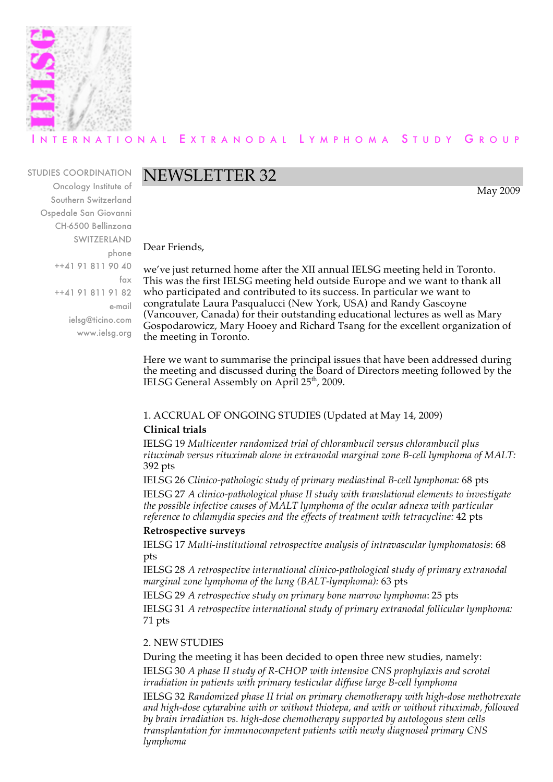

## ERNATIONAL EXTRANODAL LYMPHOMA STUDY GROUP

#### STUDIES COORDINATION

Oncology Institute of Southern Switzerland Ospedale San Giovanni CH-6500 Bellinzona SWITZERLAND phone ++41 91 811 90 40 fax ++41 91 811 91 82 e-mail ielsg@ticino.com www.ielsg.org

# NEWSLETTER 32

May 2009

Dear Friends,

we've just returned home after the XII annual IELSG meeting held in Toronto. This was the first IELSG meeting held outside Europe and we want to thank all who participated and contributed to its success. In particular we want to congratulate Laura Pasqualucci (New York, USA) and Randy Gascoyne (Vancouver, Canada) for their outstanding educational lectures as well as Mary Gospodarowicz, Mary Hooey and Richard Tsang for the excellent organization of the meeting in Toronto.

Here we want to summarise the principal issues that have been addressed during the meeting and discussed during the Board of Directors meeting followed by the IELSG General Assembly on April 25<sup>th</sup>, 2009.

## 1. ACCRUAL OF ONGOING STUDIES (Updated at May 14, 2009)

#### **Clinical trials**

IELSG 19 *Multicenter randomized trial of chlorambucil versus chlorambucil plus rituximab versus rituximab alone in extranodal marginal zone B-cell lymphoma of MALT:* 392 pts

IELSG 26 *Clinico-pathologic study of primary mediastinal B-cell lymphoma:* 68 pts IELSG 27 *A clinico-pathological phase II study with translational elements to investigate the possible infective causes of MALT lymphoma of the ocular adnexa with particular reference to chlamydia species and the effects of treatment with tetracycline:* 42 pts

#### **Retrospective surveys**

IELSG 17 *Multi-institutional retrospective analysis of intravascular lymphomatosis*: 68 pts

IELSG 28 *A retrospective international clinico-pathological study of primary extranodal marginal zone lymphoma of the lung (BALT-lymphoma):* 63 pts

IELSG 29 *A retrospective study on primary bone marrow lymphoma*: 25 pts

IELSG 31 *A retrospective international study of primary extranodal follicular lymphoma:* 71 pts

## 2. NEW STUDIES

During the meeting it has been decided to open three new studies, namely:

IELSG 30 *A phase II study of R-CHOP with intensive CNS prophylaxis and scrotal irradiation in patients with primary testicular diffuse large B-cell lymphoma*

IELSG 32 *Randomized phase II trial on primary chemotherapy with high-dose methotrexate and high-dose cytarabine with or without thiotepa, and with or without rituximab, followed by brain irradiation vs. high-dose chemotherapy supported by autologous stem cells transplantation for immunocompetent patients with newly diagnosed primary CNS lymphoma*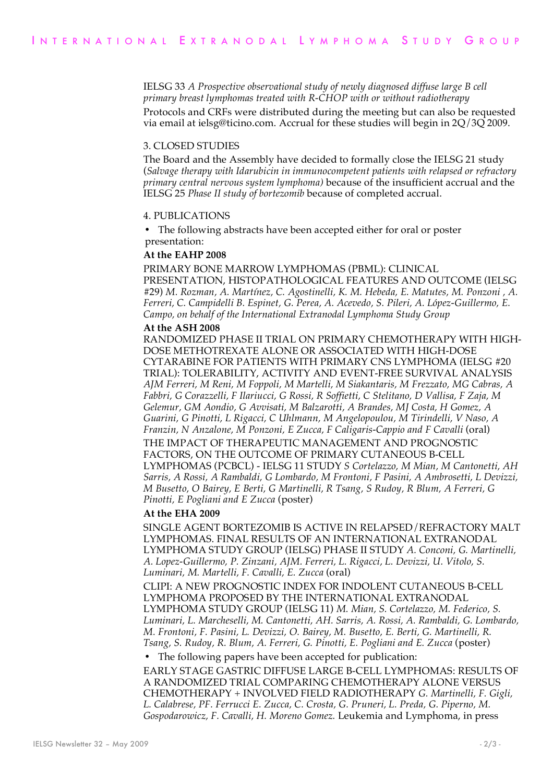IELSG 33 *A Prospective observational study of newly diagnosed diffuse large B cell primary breast lymphomas treated with R-CHOP with or without radiotherapy* Protocols and CRFs were distributed during the meeting but can also be requested via email at ielsg@ticino.com. Accrual for these studies will begin in 2Q/3Q 2009.

#### 3. CLOSED STUDIES

The Board and the Assembly have decided to formally close the IELSG 21 study (*Salvage therapy with Idarubicin in immunocompetent patients with relapsed or refractory primary central nervous system lymphoma)* because of the insufficient accrual and the IELSG 25 *Phase II study of bortezomib* because of completed accrual.

#### 4. PUBLICATIONS

The following abstracts have been accepted either for oral or poster presentation:

#### **At the EAHP 2008**

PRIMARY BONE MARROW LYMPHOMAS (PBML): CLINICAL PRESENTATION, HISTOPATHOLOGICAL FEATURES AND OUTCOME (IELSG #29) *M. Rozman, A. Martínez, C. Agostinelli, K. M. Hebeda, E. Matutes, M. Ponzoni , A. Ferreri, C. Campidelli B. Espinet, G. Perea, A. Acevedo, S. Pileri, A. López-Guillermo, E. Campo, on behalf of the International Extranodal Lymphoma Study Group*

#### **At the ASH 2008**

RANDOMIZED PHASE II TRIAL ON PRIMARY CHEMOTHERAPY WITH HIGH-DOSE METHOTREXATE ALONE OR ASSOCIATED WITH HIGH-DOSE CYTARABINE FOR PATIENTS WITH PRIMARY CNS LYMPHOMA (IELSG #20 TRIAL): TOLERABILITY, ACTIVITY AND EVENT-FREE SURVIVAL ANALYSIS *AJM Ferreri, M Reni, M Foppoli, M Martelli, M Siakantaris, M Frezzato, MG Cabras, A Fabbri, G Corazzelli, F Ilariucci, G Rossi, R Soffietti, C Stelitano, D Vallisa, F Zaja, M Gelemur, GM Aondio, G Avvisati, M Balzarotti, A Brandes, MJ Costa, H Gomez, A Guarini, G Pinotti, L Rigacci, C Uhlmann, M Angelopoulou, M Tirindelli, V Naso, A Franzin, N Anzalone, M Ponzoni, E Zucca, F Caligaris-Cappio and F Cavalli* (oral) THE IMPACT OF THERAPEUTIC MANAGEMENT AND PROGNOSTIC FACTORS, ON THE OUTCOME OF PRIMARY CUTANEOUS B-CELL LYMPHOMAS (PCBCL) - IELSG 11 STUDY *S Cortelazzo, M Mian, M Cantonetti, AH Sarris, A Rossi, A Rambaldi, G Lombardo, M Frontoni, F Pasini, A Ambrosetti, L Devizzi, M Busetto, O Bairey, E Berti, G Martinelli, R Tsang, S Rudoy, R Blum, A Ferreri, G Pinotti, E Pogliani and E Zucca* (poster)

#### **At the EHA 2009**

SINGLE AGENT BORTEZOMIB IS ACTIVE IN RELAPSED/REFRACTORY MALT LYMPHOMAS. FINAL RESULTS OF AN INTERNATIONAL EXTRANODAL LYMPHOMA STUDY GROUP (IELSG) PHASE II STUDY *A. Conconi, G. Martinelli, A. Lopez-Guillermo, P. Zinzani, AJM. Ferreri, L. Rigacci, L. Devizzi, U. Vitolo, S. Luminari, M. Martelli, F. Cavalli, E. Zucca* (oral)

CLIPI: A NEW PROGNOSTIC INDEX FOR INDOLENT CUTANEOUS B-CELL LYMPHOMA PROPOSED BY THE INTERNATIONAL EXTRANODAL LYMPHOMA STUDY GROUP (IELSG 11) *M. Mian, S. Cortelazzo, M. Federico, S. Luminari, L. Marcheselli, M. Cantonetti, AH. Sarris, A. Rossi, A. Rambaldi, G. Lombardo, M. Frontoni, F. Pasini, L. Devizzi, O. Bairey, M. Busetto, E. Berti, G. Martinelli, R. Tsang, S. Rudoy, R. Blum, A. Ferreri, G. Pinotti, E. Pogliani and E. Zucca* (poster)

• The following papers have been accepted for publication:

EARLY STAGE GASTRIC DIFFUSE LARGE B-CELL LYMPHOMAS: RESULTS OF A RANDOMIZED TRIAL COMPARING CHEMOTHERAPY ALONE VERSUS CHEMOTHERAPY + INVOLVED FIELD RADIOTHERAPY *G. Martinelli, F. Gigli, L. Calabrese, PF. Ferrucci E. Zucca, C. Crosta, G. Pruneri, L. Preda, G. Piperno, M. Gospodarowicz, F. Cavalli, H. Moreno Gomez.* Leukemia and Lymphoma, in press